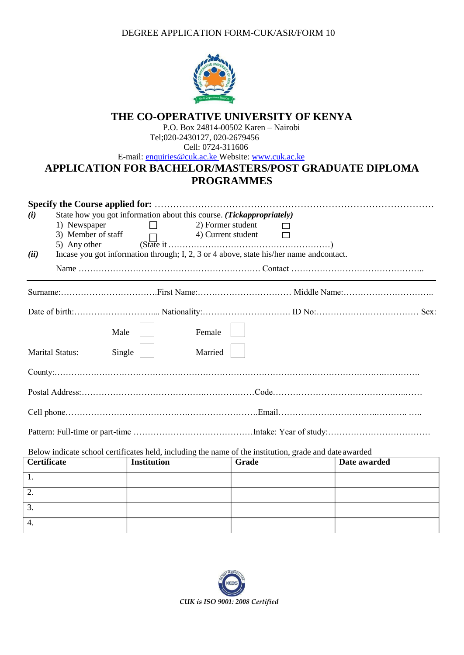DEGREE APPLICATION FORM-CUK/ASR/FORM 10



## **THE CO-OPERATIVE UNIVERSITY OF KENYA**

P.O. Box 24814-00502 Karen – Nairobi Tel;020-2430127, 020-2679456 Cell: 0724-311606

E-mail: [enquiries@cuk.ac.ke W](mailto:enquiries@cuk.ac.ke)ebsite: [www.cuk.ac.ke](http://www.cuk.ac.ke/)

# **APPLICATION FOR BACHELOR/MASTERS/POST GRADUATE DIPLOMA PROGRAMMES**

| State how you got information about this course. (Tickappropriately)<br>(i) |                                                                                                        |                           |                                                                                                                                |  |              |
|-----------------------------------------------------------------------------|--------------------------------------------------------------------------------------------------------|---------------------------|--------------------------------------------------------------------------------------------------------------------------------|--|--------------|
|                                                                             | 1) Newspaper                                                                                           | $\mathbf{1}$              | 2) Former student                                                                                                              |  |              |
|                                                                             | 3) Member of staff                                                                                     | $\Box$ 4) Current student |                                                                                                                                |  |              |
|                                                                             | 5) Any other                                                                                           |                           | $(S\stackrel{\sqcup}{\mathsf{date}}\mathsf{it} \dots \dots \dots \dots \dots \dots \dots \dots \dots \dots \dots \dots \dots)$ |  |              |
| (ii)                                                                        |                                                                                                        |                           | Incase you got information through; I, 2, 3 or 4 above, state his/her name and contact.                                        |  |              |
|                                                                             |                                                                                                        |                           |                                                                                                                                |  |              |
|                                                                             |                                                                                                        |                           |                                                                                                                                |  |              |
|                                                                             |                                                                                                        |                           |                                                                                                                                |  |              |
|                                                                             | Male                                                                                                   |                           | Female                                                                                                                         |  |              |
|                                                                             | <b>Marital Status:</b><br>Single                                                                       |                           | Married                                                                                                                        |  |              |
|                                                                             |                                                                                                        |                           |                                                                                                                                |  |              |
|                                                                             |                                                                                                        |                           |                                                                                                                                |  |              |
|                                                                             |                                                                                                        |                           |                                                                                                                                |  |              |
|                                                                             |                                                                                                        |                           |                                                                                                                                |  |              |
|                                                                             | Below indicate school certificates held, including the name of the institution, grade and date awarded |                           |                                                                                                                                |  |              |
| Certificate                                                                 |                                                                                                        | <b>Institution</b>        | Grade                                                                                                                          |  | Date awarded |
| 1.                                                                          |                                                                                                        |                           |                                                                                                                                |  |              |
| $\overline{2}$ .                                                            |                                                                                                        |                           |                                                                                                                                |  |              |
| $\overline{3}$ .                                                            |                                                                                                        |                           |                                                                                                                                |  |              |



4.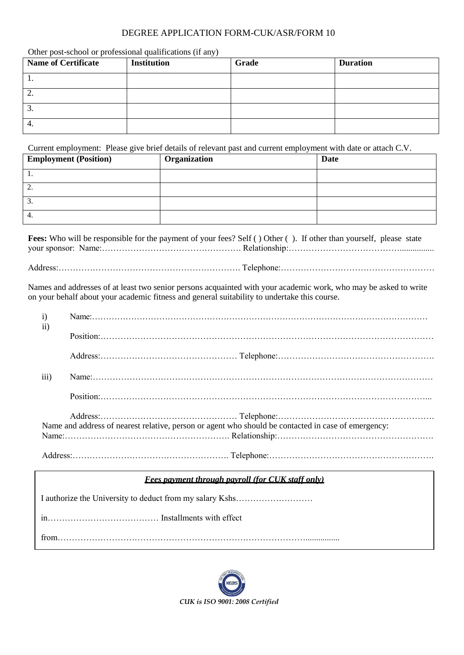#### DEGREE APPLICATION FORM-CUK/ASR/FORM 10

Other post-school or professional qualifications (if any)

| <b>Name of Certificate</b> | <b>Institution</b> | Grade | <b>Duration</b> |
|----------------------------|--------------------|-------|-----------------|
| . .                        |                    |       |                 |
| ◠<br>∠.                    |                    |       |                 |
| J.                         |                    |       |                 |
| 4.                         |                    |       |                 |

Current employment: Please give brief details of relevant past and current employment with date or attach C.V.

| <b>Employment (Position)</b> | Organization | <b>Date</b> |
|------------------------------|--------------|-------------|
| . .                          |              |             |
| ി<br>٠.                      |              |             |
| $\mathbf{r}$<br>υ.           |              |             |
| ┭.                           |              |             |

**Fees:** Who will be responsible for the payment of your fees? Self ( ) Other ( ). If other than yourself, please state your sponsor: Name:…………………………………………. Relationship:…………………………………................

Address:………………………………………………………. Telephone:………………………………………………

Names and addresses of at least two senior persons acquainted with your academic work, who may be asked to write on your behalf about your academic fitness and general suitability to undertake this course.

| $\mathbf{i}$<br>$\overline{ii}$ |                                                                                                     |
|---------------------------------|-----------------------------------------------------------------------------------------------------|
|                                 |                                                                                                     |
|                                 |                                                                                                     |
| iii)                            |                                                                                                     |
|                                 |                                                                                                     |
|                                 | Name and address of nearest relative, person or agent who should be contacted in case of emergency: |
|                                 |                                                                                                     |

| <b>Fees payment through payroll (for CUK staff only)</b> |  |
|----------------------------------------------------------|--|
|                                                          |  |

I authorize the University to deduct from my salary Kshs……………………… in………………………………… Installments with effect from……………………………………………………………………………................